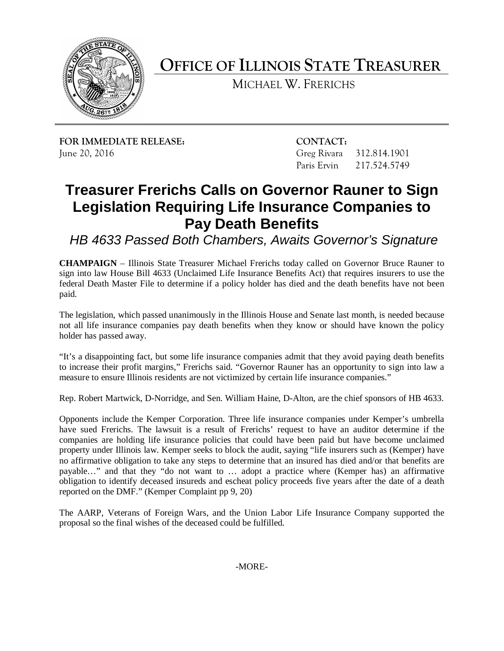

**OFFICE OF ILLINOIS STATE TREASURER**

MICHAEL W. FRERICHS

**FOR IMMEDIATE RELEASE: CONTACT:** June 20, 2016 Greg Rivara 312.814.1901

Paris Ervin 217.524.5749

## **Treasurer Frerichs Calls on Governor Rauner to Sign Legislation Requiring Life Insurance Companies to Pay Death Benefits**

*HB 4633 Passed Both Chambers, Awaits Governor's Signature*

**CHAMPAIGN** – Illinois State Treasurer Michael Frerichs today called on Governor Bruce Rauner to sign into law House Bill 4633 (Unclaimed Life Insurance Benefits Act) that requires insurers to use the federal Death Master File to determine if a policy holder has died and the death benefits have not been paid.

The legislation, which passed unanimously in the Illinois House and Senate last month, is needed because not all life insurance companies pay death benefits when they know or should have known the policy holder has passed away.

"It's a disappointing fact, but some life insurance companies admit that they avoid paying death benefits to increase their profit margins," Frerichs said. "Governor Rauner has an opportunity to sign into law a measure to ensure Illinois residents are not victimized by certain life insurance companies."

Rep. Robert Martwick, D-Norridge, and Sen. William Haine, D-Alton, are the chief sponsors of HB 4633.

Opponents include the Kemper Corporation. Three life insurance companies under Kemper's umbrella have sued Frerichs. The lawsuit is a result of Frerichs' request to have an auditor determine if the companies are holding life insurance policies that could have been paid but have become unclaimed property under Illinois law. Kemper seeks to block the audit, saying "life insurers such as (Kemper) have no affirmative obligation to take any steps to determine that an insured has died and/or that benefits are payable…" and that they "do not want to … adopt a practice where (Kemper has) an affirmative obligation to identify deceased insureds and escheat policy proceeds five years after the date of a death reported on the DMF." (Kemper Complaint pp 9, 20)

The AARP, Veterans of Foreign Wars, and the Union Labor Life Insurance Company supported the proposal so the final wishes of the deceased could be fulfilled.

-MORE-